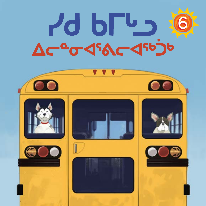# Pd brys  $\Delta C^2 \sigma 458 C 45636$

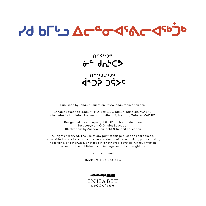## Pd brys According Chipb

#### **NUSEPJSB &C** dnhC2

<sup>ייכיי</sup>ינייוחם<br>אלאכ לכ≏ה

Published by Inhabit Education | www.inhabiteducation.com

Inhabit Education (Iqaluit), P.O. Box 2129, Iqaluit, Nunavut, X0A 1H0 (Toronto), 191 Eglinton Avenue East, Suite 302, Toronto, Ontario, M4P 1K1

> Design and layout copyright © 2016 Inhabit Education Text copyright © Inhabit Education Illustrations by Andrew Trabbold © Inhabit Education

All rights reserved. The use of any part of this publication reproduced, transmitted in any form or by any means, electronic, mechanical, photocopying, recording, or otherwise, or stored in a retrievable system, without written consent of the publisher, is an infringement of copyright law.

Printed in Canada.

ISBN: 978-1-987958-84-3

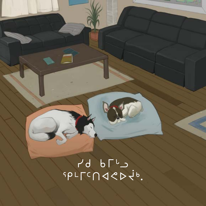SPLLCUAGD4p'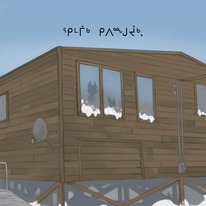### SPLF6 PNee JJ6.

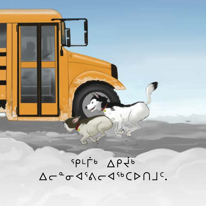#### SPLTD APJD  $\Delta\subset$ <sup>a</sup> $\sigma$ <br/> $\Delta$ <sup>s</sup><br/>a $\subset$

 $\Rightarrow$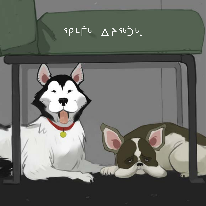### $\begin{picture}(20,10) \put(0,0){\line(1,0){10}} \put(15,0){\line(1,0){10}} \put(15,0){\line(1,0){10}} \put(15,0){\line(1,0){10}} \put(15,0){\line(1,0){10}} \put(15,0){\line(1,0){10}} \put(15,0){\line(1,0){10}} \put(15,0){\line(1,0){10}} \put(15,0){\line(1,0){10}} \put(15,0){\line(1,0){10}} \put(15,0){\line(1,0){10}} \put(15,0){\line(1$

 $1.1.$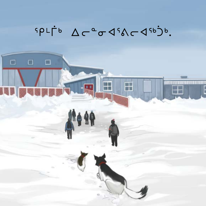### $59L\dot{\Gamma}^6 \Delta\tau^a\sigma\Delta^5\Lambda\tau\Delta^{5b}\dot{\Gamma}^b.$

8 EUR LE LE SERVIT ET L'EST ET L'EST ET L'

 $\alpha$ 

 $\Box$ 

 $\Box$ 

 $\Box$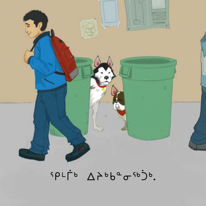

### $5\rho L\dot{\Gamma}^b \Delta\lambda^b b^a \sigma^{5b}b^b.$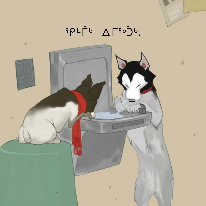$\begin{picture}(20,10) \put(0,0){\line(1,0){10}} \put(15,0){\line(1,0){10}} \put(15,0){\line(1,0){10}} \put(15,0){\line(1,0){10}} \put(15,0){\line(1,0){10}} \put(15,0){\line(1,0){10}} \put(15,0){\line(1,0){10}} \put(15,0){\line(1,0){10}} \put(15,0){\line(1,0){10}} \put(15,0){\line(1,0){10}} \put(15,0){\line(1,0){10}} \put(15,0){\line(1$ 

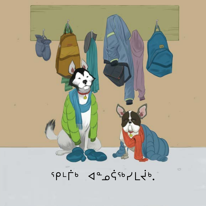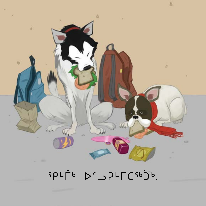



Á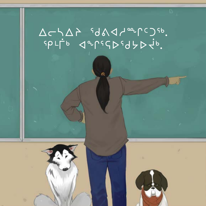#### ACSAA SdAJParrojsb. SPLT0 JarsDSJ7DJ0.

 $\approx$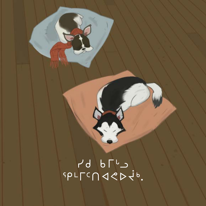SPLLCU AGD4p'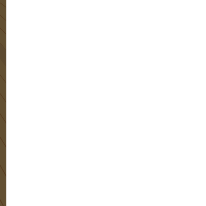